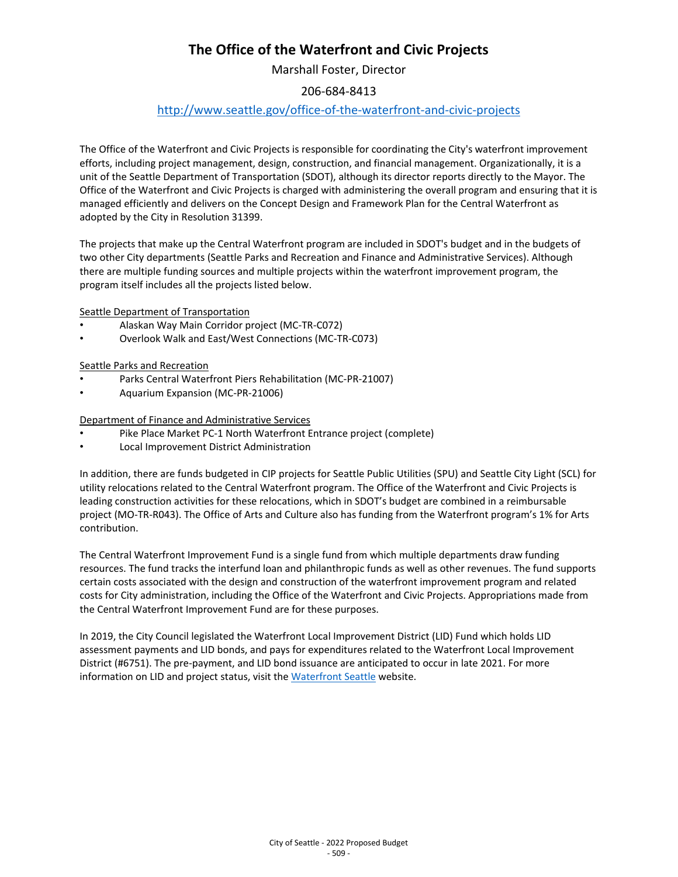# **The Office of the Waterfront and Civic Projects**

Marshall Foster, Director

### 206-684-8413

## <http://www.seattle.gov/office-of-the-waterfront-and-civic-projects>

The Office of the Waterfront and Civic Projects is responsible for coordinating the City's waterfront improvement efforts, including project management, design, construction, and financial management. Organizationally, it is a unit of the Seattle Department of Transportation (SDOT), although its director reports directly to the Mayor. The Office of the Waterfront and Civic Projects is charged with administering the overall program and ensuring that it is managed efficiently and delivers on the Concept Design and Framework Plan for the Central Waterfront as adopted by the City in Resolution 31399.

The projects that make up the Central Waterfront program are included in SDOT's budget and in the budgets of two other City departments (Seattle Parks and Recreation and Finance and Administrative Services). Although there are multiple funding sources and multiple projects within the waterfront improvement program, the program itself includes all the projects listed below.

Seattle Department of Transportation

- Alaskan Way Main Corridor project (MC-TR-C072)
- Overlook Walk and East/West Connections (MC-TR-C073)

#### Seattle Parks and Recreation

- Parks Central Waterfront Piers Rehabilitation (MC-PR-21007)
- Aquarium Expansion (MC-PR-21006)

Department of Finance and Administrative Services

- Pike Place Market PC-1 North Waterfront Entrance project (complete)
- Local Improvement District Administration

In addition, there are funds budgeted in CIP projects for Seattle Public Utilities (SPU) and Seattle City Light (SCL) for utility relocations related to the Central Waterfront program. The Office of the Waterfront and Civic Projects is leading construction activities for these relocations, which in SDOT's budget are combined in a reimbursable project (MO-TR-R043). The Office of Arts and Culture also has funding from the Waterfront program's 1% for Arts contribution.

The Central Waterfront Improvement Fund is a single fund from which multiple departments draw funding resources. The fund tracks the interfund loan and philanthropic funds as well as other revenues. The fund supports certain costs associated with the design and construction of the waterfront improvement program and related costs for City administration, including the Office of the Waterfront and Civic Projects. Appropriations made from the Central Waterfront Improvement Fund are for these purposes.

In 2019, the City Council legislated the Waterfront Local Improvement District (LID) Fund which holds LID assessment payments and LID bonds, and pays for expenditures related to the Waterfront Local Improvement District (#6751). The pre-payment, and LID bond issuance are anticipated to occur in late 2021. For more information on LID and project status, visit the [Waterfront Seattle](https://waterfrontseattle.org/) website.